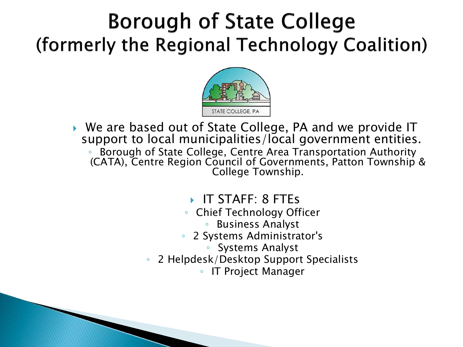### **Borough of State College** (formerly the Regional Technology Coalition)



- ▶ We are based out of State College, PA and we provide IT support to local municipalities/local government entities. ◦ Borough of State College, Centre Area Transportation Authority (CATA), Centre Region Council of Governments, Patton Township & College Township.
	- IT STAFF: 8 FTEs
	- Chief Technology Officer
		- Business Analyst
	- 2 Systems Administrator's
		- Systems Analyst
	- 2 Helpdesk/Desktop Support Specialists
		- IT Project Manager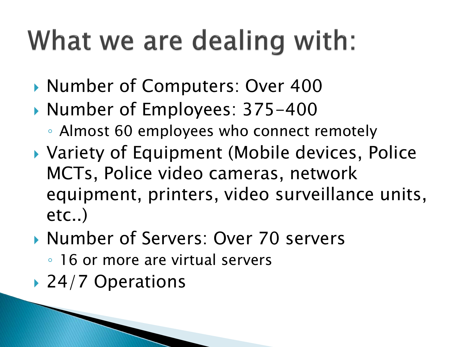## What we are dealing with:

- ▶ Number of Computers: Over 400
- ▶ Number of Employees: 375-400
	- Almost 60 employees who connect remotely
- ▶ Variety of Equipment (Mobile devices, Police MCTs, Police video cameras, network equipment, printers, video surveillance units, etc..)
- ▶ Number of Servers: Over 70 servers
	- 16 or more are virtual servers
- ▶ 24/7 Operations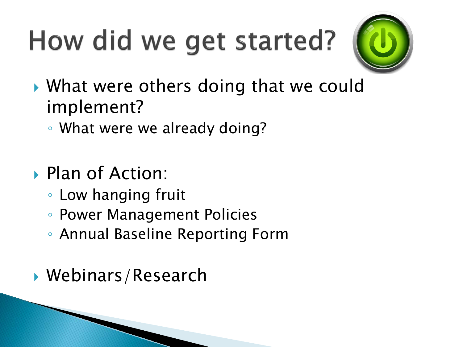# How did we get started?



- ▶ What were others doing that we could implement?
	- What were we already doing?
- Plan of Action:
	- Low hanging fruit
	- Power Management Policies
	- Annual Baseline Reporting Form
- Webinars/Research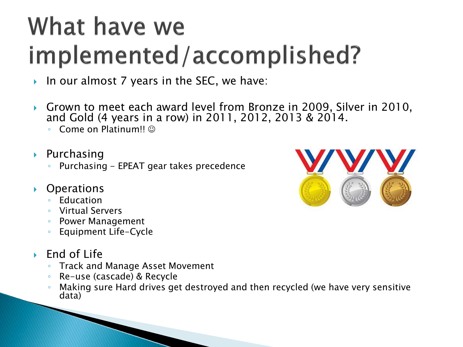### What have we implemented/accomplished?

- In our almost 7 years in the SEC, we have:
- ▶ Grown to meet each award level from Bronze in 2009, Silver in 2010, and Gold (4 years in a row) in 2011, 2012, 2013 & 2014.
	- Come on Platinum!!
- $\rightarrow$  Purchasing
	- Purchasing EPEAT gear takes precedence
- ▶ Operations
	- Education
	- Virtual Servers
	- Power Management
	- Equipment Life-Cycle
- $\blacktriangleright$  End of Life
	- Track and Manage Asset Movement
	- Re-use (cascade) & Recycle
	- Making sure Hard drives get destroyed and then recycled (we have very sensitive data)

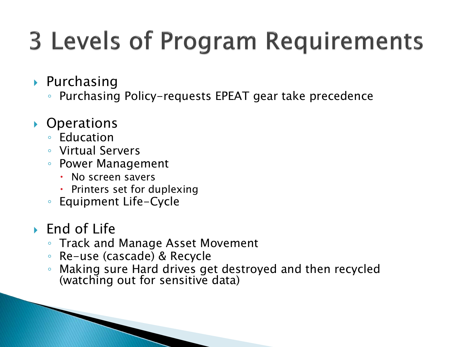## **3 Levels of Program Requirements**

- $\triangleright$  Purchasing
	- Purchasing Policy-requests EPEAT gear take precedence
- ▶ Operations
	- Education
	- Virtual Servers
	- Power Management
		- No screen savers
		- Printers set for duplexing
	- Equipment Life-Cycle
- $\triangleright$  End of Life
	- Track and Manage Asset Movement
	- Re-use (cascade) & Recycle
	- Making sure Hard drives get destroyed and then recycled (watching out for sensitive data)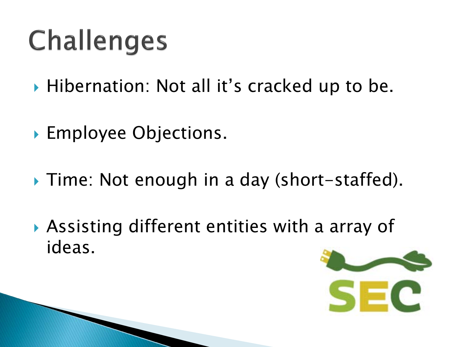# **Challenges**

- ▶ Hibernation: Not all it's cracked up to be.
- **Employee Objections.**
- ▶ Time: Not enough in a day (short-staffed).
- Assisting different entities with a array of ideas.

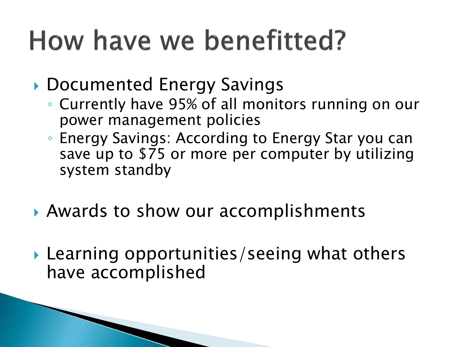## How have we benefitted?

▶ Documented Energy Savings

- Currently have 95% of all monitors running on our power management policies
- Energy Savings: According to Energy Star you can save up to \$75 or more per computer by utilizing system standby
- ▶ Awards to show our accomplishments
- ▶ Learning opportunities/seeing what others have accomplished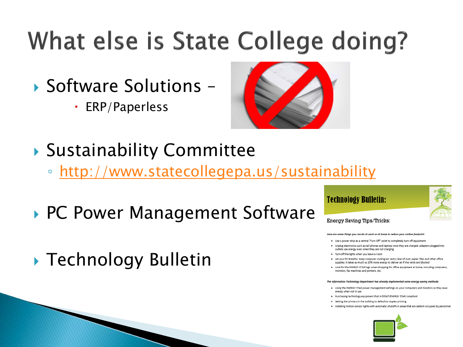## What else is State College doing?

- ▶ Software Solutions -
	- ERP/Paperless



- Sustainability Committee
	- <http://www.statecollegepa.us/sustainability>
- ▶ PC Power Management Software
- ▶ Technology Bulletin

### **Technology Bulletin:**

### Energy Saving Tips/Tricks:

### Here are same things you can do at work or at home to reduce your carbon footprint:

- . Use a power strip as a central "Turn Off" point to completely turn off equipment
- . Unplue electronics such as cell phones and laptops once they are charged. Adapters plugged into outlets use energy even when they are not charging
- . Turn off the lights when you leave a room
- . Let your PC Breathe: Keep computer cooling/air vents clear of dust, paper, files and other office supplies. It takes as much as 25% more energy to deliver air if the vents are blocked
- . Look for the ENERGY STAR logo when shopping for office equipment at home; including computers monitors, fax machines and printers, etc.

### The Information Technology Department has already implemented some energy-saving methods:

- . Using the ENERGY STAR power management settings on your computers and monitors so they save energy when not in use
- . Purchasing technology equipment that is EPEAT/ENERGY STAR compliant
- . Setting the printers in the building to default to duplex printing
- . Installing motion-sensor lights with automatic shutoffs in areas that are seldom occupied by personnel

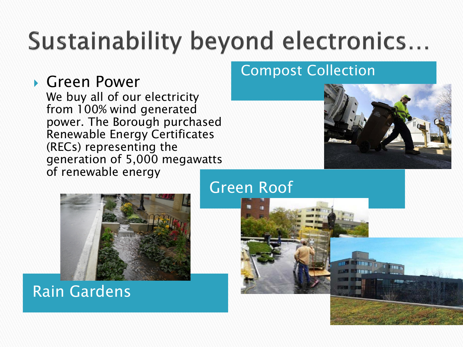## Sustainability beyond electronics...

Green Roof

Green Power<br>We buy all of our electricity from 100% wind generated power. The Borough purchased Renewable Energy Certificates (RECs) representing the generation of 5,000 megawatts of renewable energy

### Compost Collection



Rain Gardens

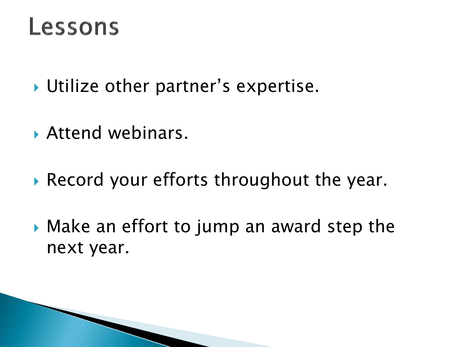### Lessons

- ▶ Utilize other partner's expertise.
- Attend webinars.
- Record your efforts throughout the year.
- Make an effort to jump an award step the next year.